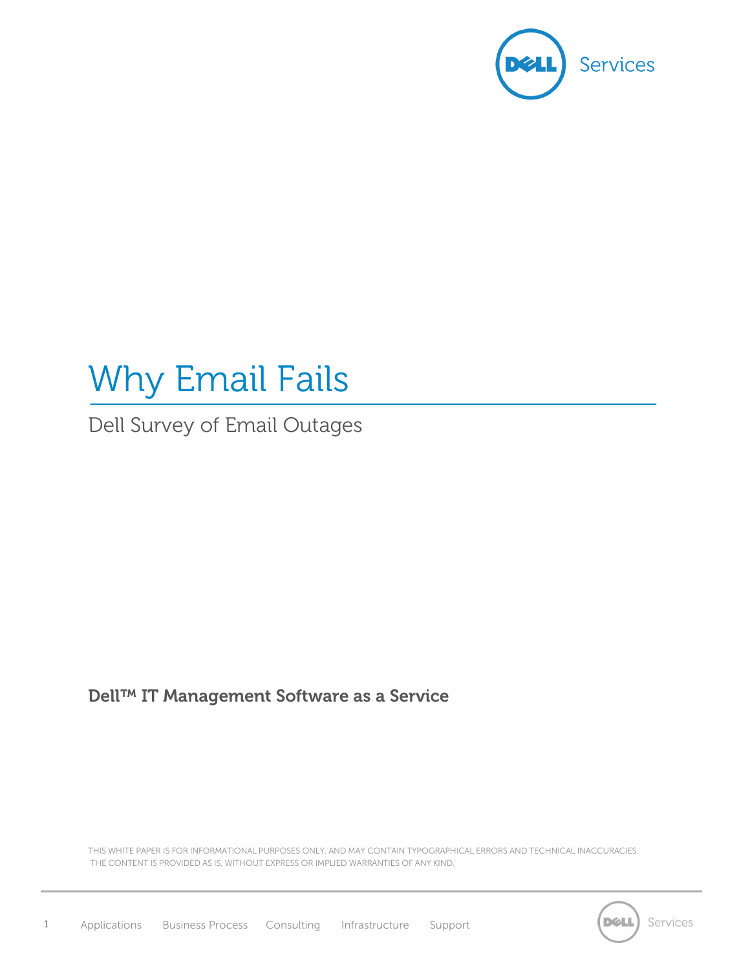

# Why Email Fails

Dell Survey of Email Outages

# **Dell™ IT Management Software as a Service**

THIS WHITE PAPER IS FOR INFORMATIONAL PURPOSES ONLY, AND MAY CONTAIN TYPOGRAPHICAL ERRORS AND TECHNICAL INACCURACIES. THE CONTENT IS PROVIDED AS IS, WITHOUT EXPRESS OR IMPLIED WARRANTIES OF ANY KIND.

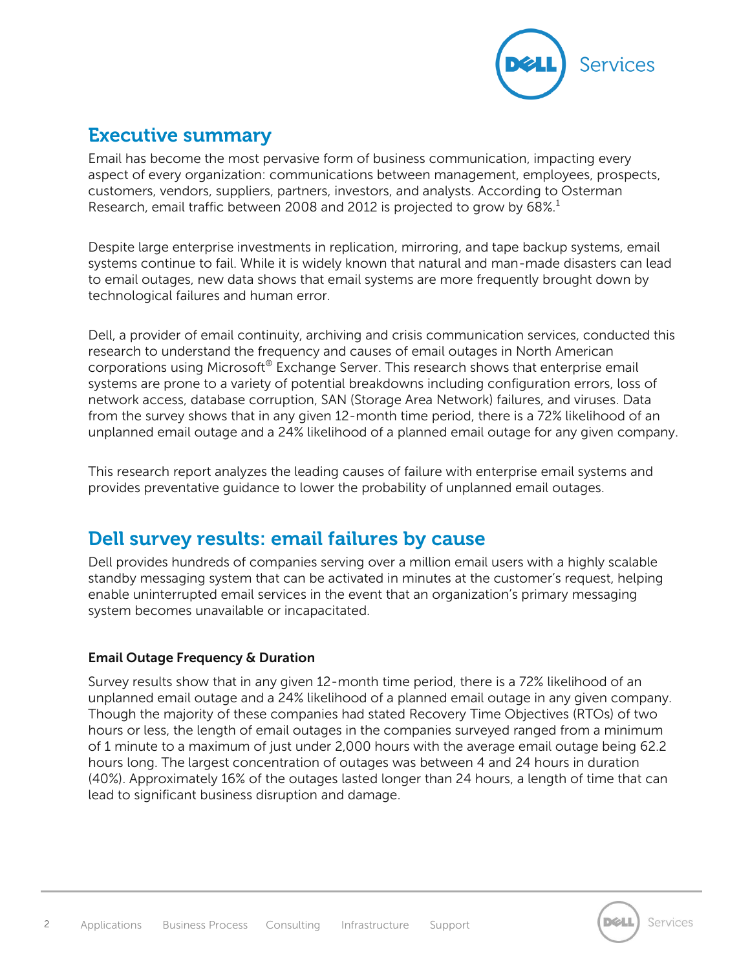

# **Executive summary**

Email has become the most pervasive form of business communication, impacting every aspect of every organization: communications between management, employees, prospects, customers, vendors, suppliers, partners, investors, and analysts. According to Osterman Research, email traffic between 2008 and 2012 is projected to grow by  $68\%$ .<sup>1</sup>

Despite large enterprise investments in replication, mirroring, and tape backup systems, email systems continue to fail. While it is widely known that natural and man-made disasters can lead to email outages, new data shows that email systems are more frequently brought down by technological failures and human error.

Dell, a provider of email continuity, archiving and crisis communication services, conducted this research to understand the frequency and causes of email outages in North American corporations using Microsoft® Exchange Server. This research shows that enterprise email systems are prone to a variety of potential breakdowns including configuration errors, loss of network access, database corruption, SAN (Storage Area Network) failures, and viruses. Data from the survey shows that in any given 12-month time period, there is a 72% likelihood of an unplanned email outage and a 24% likelihood of a planned email outage for any given company.

This research report analyzes the leading causes of failure with enterprise email systems and provides preventative guidance to lower the probability of unplanned email outages.

# **Dell survey results: email failures by cause**

Dell provides hundreds of companies serving over a million email users with a highly scalable standby messaging system that can be activated in minutes at the customer's request, helping enable uninterrupted email services in the event that an organization's primary messaging system becomes unavailable or incapacitated.

## **Email Outage Frequency & Duration**

Survey results show that in any given 12-month time period, there is a 72% likelihood of an unplanned email outage and a 24% likelihood of a planned email outage in any given company. Though the majority of these companies had stated Recovery Time Objectives (RTOs) of two hours or less, the length of email outages in the companies surveyed ranged from a minimum of 1 minute to a maximum of just under 2,000 hours with the average email outage being 62.2 hours long. The largest concentration of outages was between 4 and 24 hours in duration (40%). Approximately 16% of the outages lasted longer than 24 hours, a length of time that can lead to significant business disruption and damage.

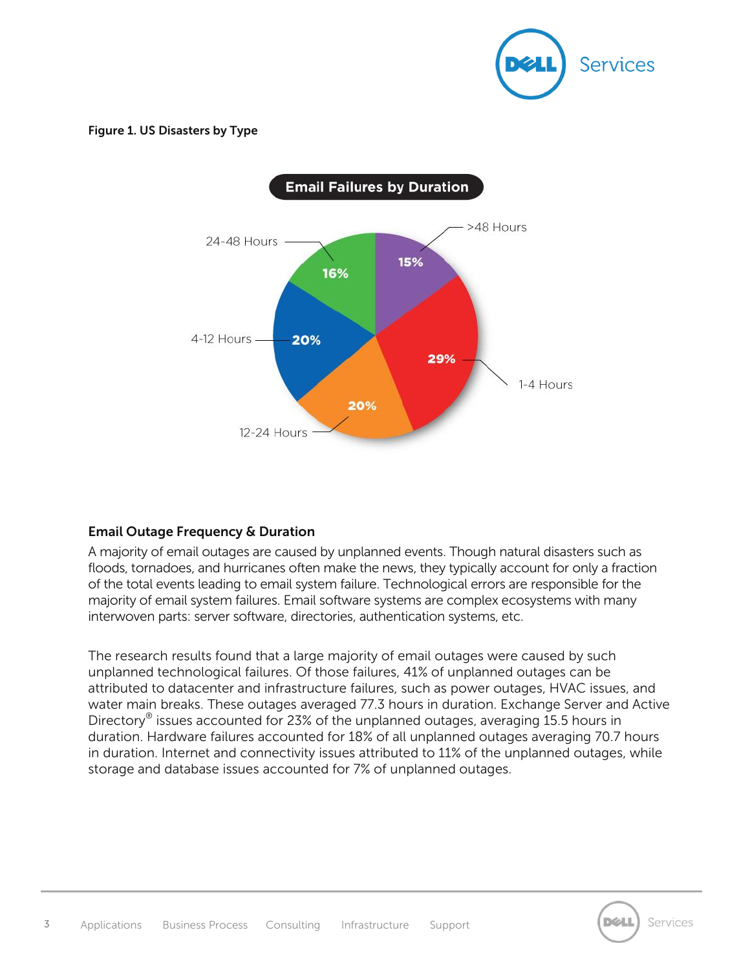

#### **Figure 1. US Disasters by Type**



## **Email Outage Frequency & Duration**

A majority of email outages are caused by unplanned events. Though natural disasters such as floods, tornadoes, and hurricanes often make the news, they typically account for only a fraction of the total events leading to email system failure. Technological errors are responsible for the majority of email system failures. Email software systems are complex ecosystems with many interwoven parts: server software, directories, authentication systems, etc.

The research results found that a large majority of email outages were caused by such unplanned technological failures. Of those failures, 41% of unplanned outages can be attributed to datacenter and infrastructure failures, such as power outages, HVAC issues, and water main breaks. These outages averaged 77.3 hours in duration. Exchange Server and Active Directory® issues accounted for 23% of the unplanned outages, averaging 15.5 hours in duration. Hardware failures accounted for 18% of all unplanned outages averaging 70.7 hours in duration. Internet and connectivity issues attributed to 11% of the unplanned outages, while storage and database issues accounted for 7% of unplanned outages.



Services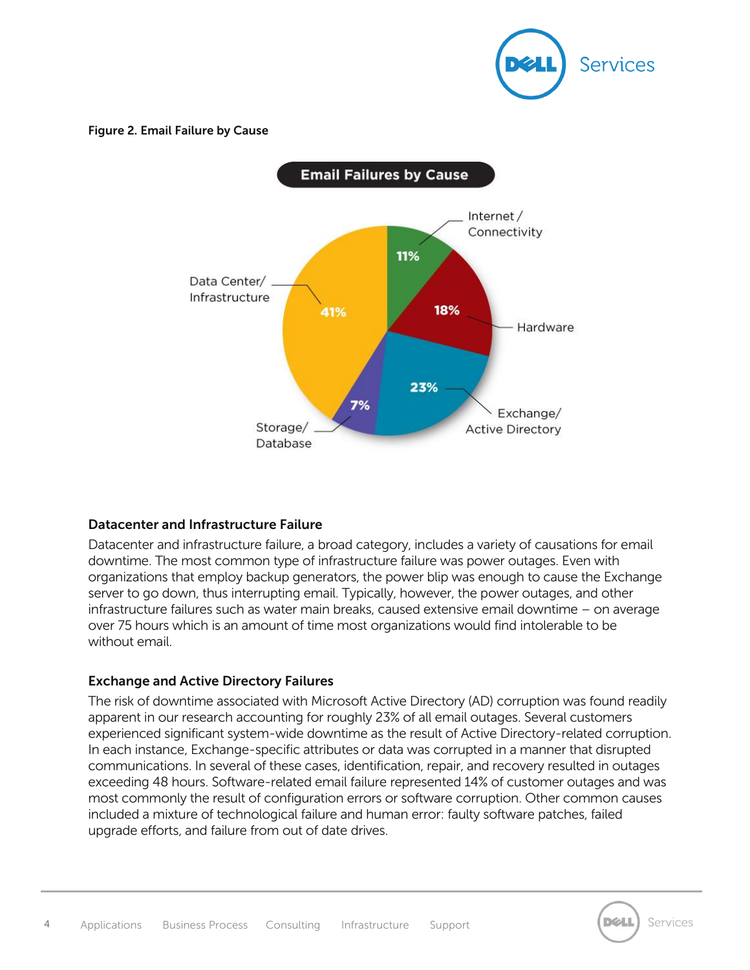

#### **Figure 2. Email Failure by Cause**



#### **Datacenter and Infrastructure Failure**

Datacenter and infrastructure failure, a broad category, includes a variety of causations for email downtime. The most common type of infrastructure failure was power outages. Even with organizations that employ backup generators, the power blip was enough to cause the Exchange server to go down, thus interrupting email. Typically, however, the power outages, and other infrastructure failures such as water main breaks, caused extensive email downtime – on average over 75 hours which is an amount of time most organizations would find intolerable to be without email.

#### **Exchange and Active Directory Failures**

The risk of downtime associated with Microsoft Active Directory (AD) corruption was found readily apparent in our research accounting for roughly 23% of all email outages. Several customers experienced significant system-wide downtime as the result of Active Directory-related corruption. In each instance, Exchange-specific attributes or data was corrupted in a manner that disrupted communications. In several of these cases, identification, repair, and recovery resulted in outages exceeding 48 hours. Software-related email failure represented 14% of customer outages and was most commonly the result of configuration errors or software corruption. Other common causes included a mixture of technological failure and human error: faulty software patches, failed upgrade efforts, and failure from out of date drives.

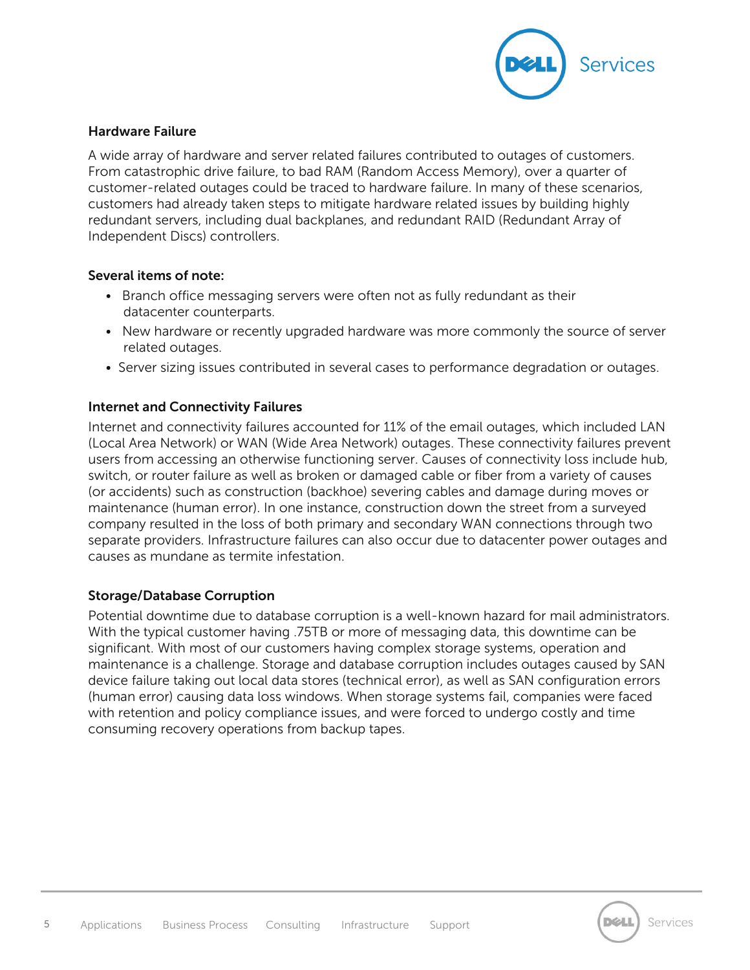

#### **Hardware Failure**

A wide array of hardware and server related failures contributed to outages of customers. From catastrophic drive failure, to bad RAM (Random Access Memory), over a quarter of customer-related outages could be traced to hardware failure. In many of these scenarios, customers had already taken steps to mitigate hardware related issues by building highly redundant servers, including dual backplanes, and redundant RAID (Redundant Array of Independent Discs) controllers.

#### **Several items of note:**

- Branch office messaging servers were often not as fully redundant as their datacenter counterparts.
- New hardware or recently upgraded hardware was more commonly the source of server related outages.
- Server sizing issues contributed in several cases to performance degradation or outages.

#### **Internet and Connectivity Failures**

Internet and connectivity failures accounted for 11% of the email outages, which included LAN (Local Area Network) or WAN (Wide Area Network) outages. These connectivity failures prevent users from accessing an otherwise functioning server. Causes of connectivity loss include hub, switch, or router failure as well as broken or damaged cable or fiber from a variety of causes (or accidents) such as construction (backhoe) severing cables and damage during moves or maintenance (human error). In one instance, construction down the street from a surveyed company resulted in the loss of both primary and secondary WAN connections through two separate providers. Infrastructure failures can also occur due to datacenter power outages and causes as mundane as termite infestation.

#### **Storage/Database Corruption**

Potential downtime due to database corruption is a well-known hazard for mail administrators. With the typical customer having .75TB or more of messaging data, this downtime can be significant. With most of our customers having complex storage systems, operation and maintenance is a challenge. Storage and database corruption includes outages caused by SAN device failure taking out local data stores (technical error), as well as SAN configuration errors (human error) causing data loss windows. When storage systems fail, companies were faced with retention and policy compliance issues, and were forced to undergo costly and time consuming recovery operations from backup tapes.

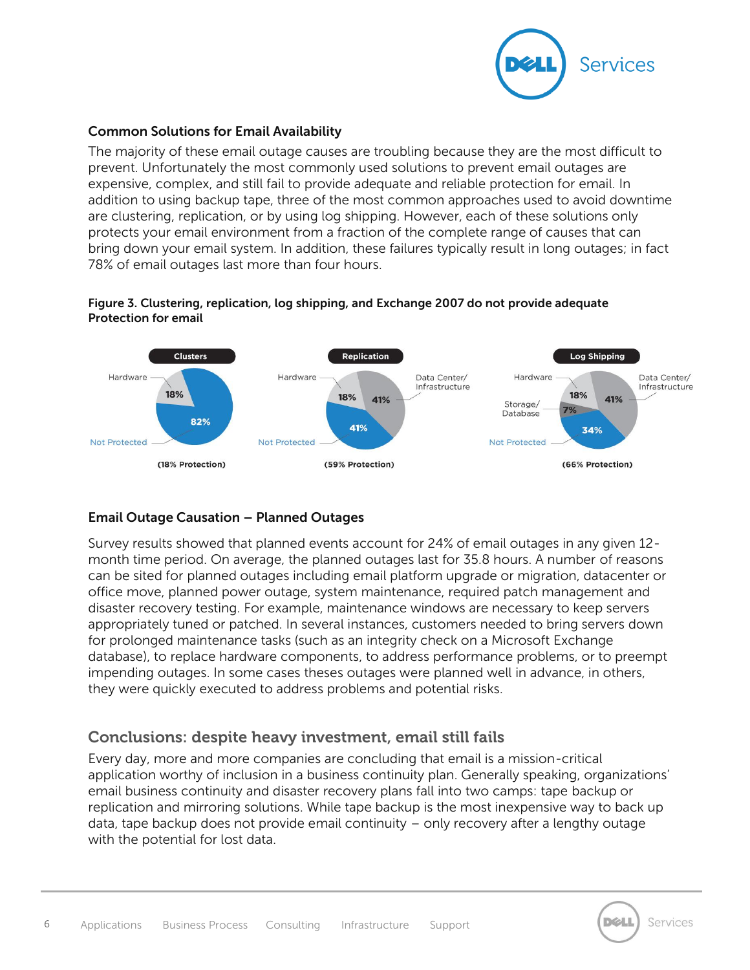

### **Common Solutions for Email Availability**

The majority of these email outage causes are troubling because they are the most difficult to prevent. Unfortunately the most commonly used solutions to prevent email outages are expensive, complex, and still fail to provide adequate and reliable protection for email. In addition to using backup tape, three of the most common approaches used to avoid downtime are clustering, replication, or by using log shipping. However, each of these solutions only protects your email environment from a fraction of the complete range of causes that can bring down your email system. In addition, these failures typically result in long outages; in fact 78% of email outages last more than four hours.



#### **Figure 3. Clustering, replication, log shipping, and Exchange 2007 do not provide adequate Protection for email**

## **Email Outage Causation – Planned Outages**

Survey results showed that planned events account for 24% of email outages in any given 12 month time period. On average, the planned outages last for 35.8 hours. A number of reasons can be sited for planned outages including email platform upgrade or migration, datacenter or office move, planned power outage, system maintenance, required patch management and disaster recovery testing. For example, maintenance windows are necessary to keep servers appropriately tuned or patched. In several instances, customers needed to bring servers down for prolonged maintenance tasks (such as an integrity check on a Microsoft Exchange database), to replace hardware components, to address performance problems, or to preempt impending outages. In some cases theses outages were planned well in advance, in others, they were quickly executed to address problems and potential risks.

# **Conclusions: despite heavy investment, email still fails**

Every day, more and more companies are concluding that email is a mission-critical application worthy of inclusion in a business continuity plan. Generally speaking, organizations' email business continuity and disaster recovery plans fall into two camps: tape backup or replication and mirroring solutions. While tape backup is the most inexpensive way to back up data, tape backup does not provide email continuity – only recovery after a lengthy outage with the potential for lost data.

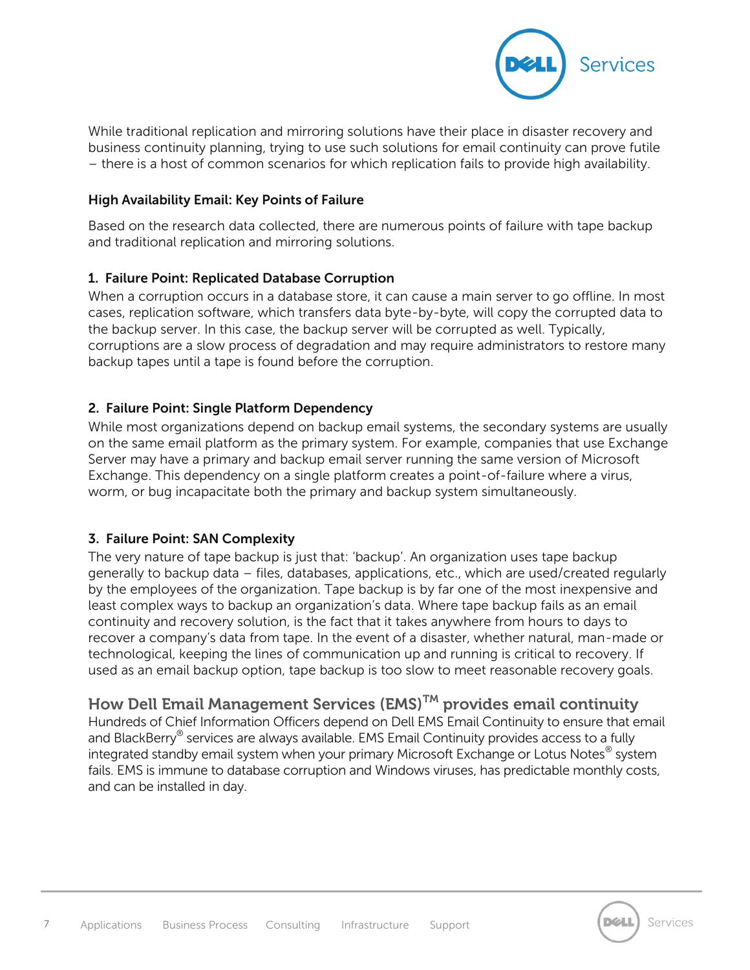

While traditional replication and mirroring solutions have their place in disaster recovery and business continuity planning, trying to use such solutions for email continuity can prove futile – there is a host of common scenarios for which replication fails to provide high availability.

#### **High Availability Email: Key Points of Failure**

Based on the research data collected, there are numerous points of failure with tape backup and traditional replication and mirroring solutions.

#### **1. Failure Point: Replicated Database Corruption**

When a corruption occurs in a database store, it can cause a main server to go offline. In most cases, replication software, which transfers data byte-by-byte, will copy the corrupted data to the backup server. In this case, the backup server will be corrupted as well. Typically, corruptions are a slow process of degradation and may require administrators to restore many backup tapes until a tape is found before the corruption.

## **2. Failure Point: Single Platform Dependency**

While most organizations depend on backup email systems, the secondary systems are usually on the same email platform as the primary system. For example, companies that use Exchange Server may have a primary and backup email server running the same version of Microsoft Exchange. This dependency on a single platform creates a point-of-failure where a virus, worm, or bug incapacitate both the primary and backup system simultaneously.

#### **3. Failure Point: SAN Complexity**

The very nature of tape backup is just that: 'backup'. An organization uses tape backup generally to backup data – files, databases, applications, etc., which are used/created regularly by the employees of the organization. Tape backup is by far one of the most inexpensive and least complex ways to backup an organization's data. Where tape backup fails as an email continuity and recovery solution, is the fact that it takes anywhere from hours to days to recover a company's data from tape. In the event of a disaster, whether natural, man-made or technological, keeping the lines of communication up and running is critical to recovery. If used as an email backup option, tape backup is too slow to meet reasonable recovery goals.

# **How Dell Email Management Services (EMS)TM provides email continuity**

Hundreds of Chief Information Officers depend on Dell EMS Email Continuity to ensure that email and BlackBerry® services are always available. EMS Email Continuity provides access to a fully integrated standby email system when your primary Microsoft Exchange or Lotus Notes® system fails. EMS is immune to database corruption and Windows viruses, has predictable monthly costs, and can be installed in day.



Services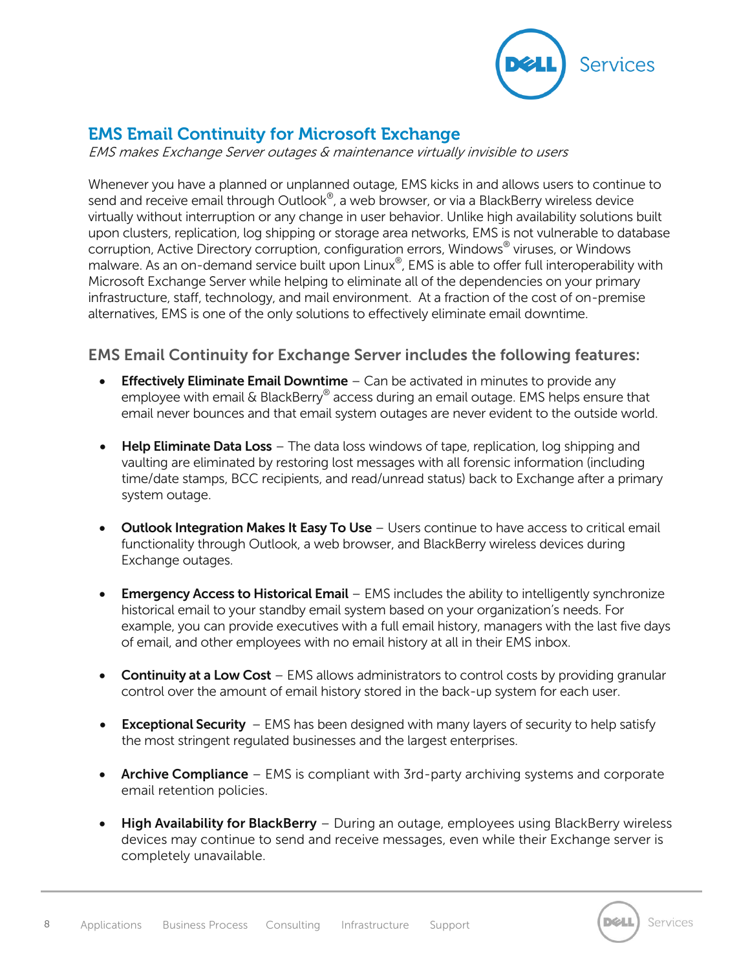

# **EMS Email Continuity for Microsoft Exchange**

EMS makes Exchange Server outages & maintenance virtually invisible to users

Whenever you have a planned or unplanned outage, EMS kicks in and allows users to continue to send and receive email through Outlook®, a web browser, or via a BlackBerry wireless device virtually without interruption or any change in user behavior. Unlike high availability solutions built upon clusters, replication, log shipping or storage area networks, EMS is not vulnerable to database corruption, Active Directory corruption, configuration errors, Windows® viruses, or Windows malware. As an on-demand service built upon Linux®, EMS is able to offer full interoperability with Microsoft Exchange Server while helping to eliminate all of the dependencies on your primary infrastructure, staff, technology, and mail environment. At a fraction of the cost of on-premise alternatives, EMS is one of the only solutions to effectively eliminate email downtime.

# **EMS Email Continuity for Exchange Server includes the following features:**

- **Effectively Eliminate Email Downtime** Can be activated in minutes to provide any employee with email & BlackBerry® access during an email outage. EMS helps ensure that email never bounces and that email system outages are never evident to the outside world.
- **Help Eliminate Data Loss** The data loss windows of tape, replication, log shipping and vaulting are eliminated by restoring lost messages with all forensic information (including time/date stamps, BCC recipients, and read/unread status) back to Exchange after a primary system outage.
- **Outlook Integration Makes It Easy To Use** Users continue to have access to critical email functionality through Outlook, a web browser, and BlackBerry wireless devices during Exchange outages.
- **Emergency Access to Historical Email** EMS includes the ability to intelligently synchronize historical email to your standby email system based on your organization's needs. For example, you can provide executives with a full email history, managers with the last five days of email, and other employees with no email history at all in their EMS inbox.
- **Continuity at a Low Cost** EMS allows administrators to control costs by providing granular control over the amount of email history stored in the back-up system for each user.
- **Exceptional Security**  EMS has been designed with many layers of security to help satisfy the most stringent regulated businesses and the largest enterprises.
- **Archive Compliance** EMS is compliant with 3rd-party archiving systems and corporate email retention policies.
- **High Availability for BlackBerry** During an outage, employees using BlackBerry wireless devices may continue to send and receive messages, even while their Exchange server is completely unavailable.